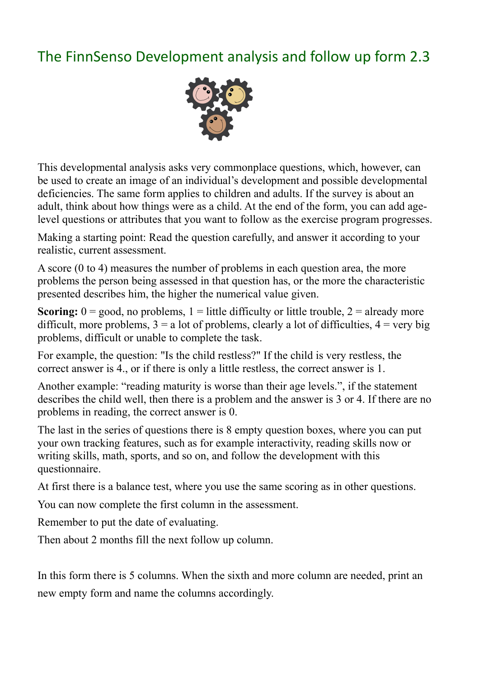## The FinnSenso Development analysis and follow up form 2.3



This developmental analysis asks very commonplace questions, which, however, can be used to create an image of an individual's development and possible developmental deficiencies. The same form applies to children and adults. If the survey is about an adult, think about how things were as a child. At the end of the form, you can add agelevel questions or attributes that you want to follow as the exercise program progresses.

Making a starting point: Read the question carefully, and answer it according to your realistic, current assessment.

A score (0 to 4) measures the number of problems in each question area, the more problems the person being assessed in that question has, or the more the characteristic presented describes him, the higher the numerical value given.

**Scoring:**  $0 = \text{good}$ , no problems,  $1 =$  little difficulty or little trouble,  $2 =$  already more difficult, more problems,  $3 = a$  lot of problems, clearly a lot of difficulties,  $4 = \text{very big}$ problems, difficult or unable to complete the task.

For example, the question: "Is the child restless?" If the child is very restless, the correct answer is 4., or if there is only a little restless, the correct answer is 1.

Another example: "reading maturity is worse than their age levels.", if the statement describes the child well, then there is a problem and the answer is 3 or 4. If there are no problems in reading, the correct answer is 0.

The last in the series of questions there is 8 empty question boxes, where you can put your own tracking features, such as for example interactivity, reading skills now or writing skills, math, sports, and so on, and follow the development with this questionnaire.

At first there is a balance test, where you use the same scoring as in other questions.

You can now complete the first column in the assessment.

Remember to put the date of evaluating.

Then about 2 months fill the next follow up column.

In this form there is 5 columns. When the sixth and more column are needed, print an new empty form and name the columns accordingly.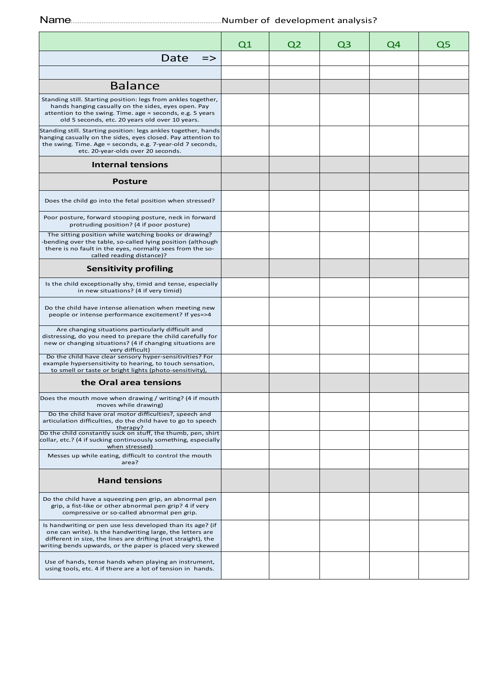Name:................................................................................................ Number of development analysis? Number of development analysis?

|                                                                                                                                                                                                                                                       | Q1 | Q <sub>2</sub> | Q3 | Q4 | Q5 |
|-------------------------------------------------------------------------------------------------------------------------------------------------------------------------------------------------------------------------------------------------------|----|----------------|----|----|----|
| Date<br>$\Rightarrow$                                                                                                                                                                                                                                 |    |                |    |    |    |
|                                                                                                                                                                                                                                                       |    |                |    |    |    |
| <b>Balance</b>                                                                                                                                                                                                                                        |    |                |    |    |    |
| Standing still. Starting position: legs from ankles together,<br>hands hanging casually on the sides, eyes open. Pay<br>attention to the swing. Time. age = seconds, e.g. 5 years<br>old 5 seconds, etc. 20 years old over 10 years.                  |    |                |    |    |    |
| Standing still. Starting position: legs ankles together, hands<br>hanging casually on the sides, eyes closed. Pay attention to<br>the swing. Time. Age = seconds, e.g. 7-year-old 7 seconds,<br>etc. 20-year-olds over 20 seconds.                    |    |                |    |    |    |
| <b>Internal tensions</b>                                                                                                                                                                                                                              |    |                |    |    |    |
| <b>Posture</b>                                                                                                                                                                                                                                        |    |                |    |    |    |
| Does the child go into the fetal position when stressed?                                                                                                                                                                                              |    |                |    |    |    |
| Poor posture, forward stooping posture, neck in forward<br>protruding position? (4 if poor posture)                                                                                                                                                   |    |                |    |    |    |
| The sitting position while watching books or drawing?<br>bending over the table, so-called lying position (although<br>there is no fault in the eyes, normally sees from the so-<br>called reading distance)?                                         |    |                |    |    |    |
| <b>Sensitivity profiling</b>                                                                                                                                                                                                                          |    |                |    |    |    |
| Is the child exceptionally shy, timid and tense, especially<br>in new situations? (4 if very timid)                                                                                                                                                   |    |                |    |    |    |
| Do the child have intense alienation when meeting new<br>people or intense performance excitement? If yes=>4                                                                                                                                          |    |                |    |    |    |
| Are changing situations particularly difficult and<br>distressing, do you need to prepare the child carefully for<br>new or changing situations? (4 if changing situations are<br>very difficult)                                                     |    |                |    |    |    |
| Do the child have clear sensory hyper-sensitivities? For<br>example hypersensitivity to hearing, to touch sensation,<br>to smell or taste or bright lights (photo-sensitivity),                                                                       |    |                |    |    |    |
| the Oral area tensions                                                                                                                                                                                                                                |    |                |    |    |    |
| Does the mouth move when drawing / writing? (4 if mouth<br>moves while drawing)                                                                                                                                                                       |    |                |    |    |    |
| Do the child have oral motor difficulties?, speech and<br>articulation difficulties, do the child have to go to speech<br>therapy?                                                                                                                    |    |                |    |    |    |
| Do the child constantly suck on stuff, the thumb, pen, shirt<br>collar, etc.? (4 if sucking continuously something, especially<br>when stressed)                                                                                                      |    |                |    |    |    |
| Messes up while eating, difficult to control the mouth<br>area?                                                                                                                                                                                       |    |                |    |    |    |
| <b>Hand tensions</b>                                                                                                                                                                                                                                  |    |                |    |    |    |
| Do the child have a squeezing pen grip, an abnormal pen<br>grip, a fist-like or other abnormal pen grip? 4 if very<br>compressive or so-called abnormal pen grip.                                                                                     |    |                |    |    |    |
| Is handwriting or pen use less developed than its age? (if<br>one can write). Is the handwriting large, the letters are<br>different in size, the lines are drifting (not straight), the<br>writing bends upwards, or the paper is placed very skewed |    |                |    |    |    |
| Use of hands, tense hands when playing an instrument,<br>using tools, etc. 4 if there are a lot of tension in hands.                                                                                                                                  |    |                |    |    |    |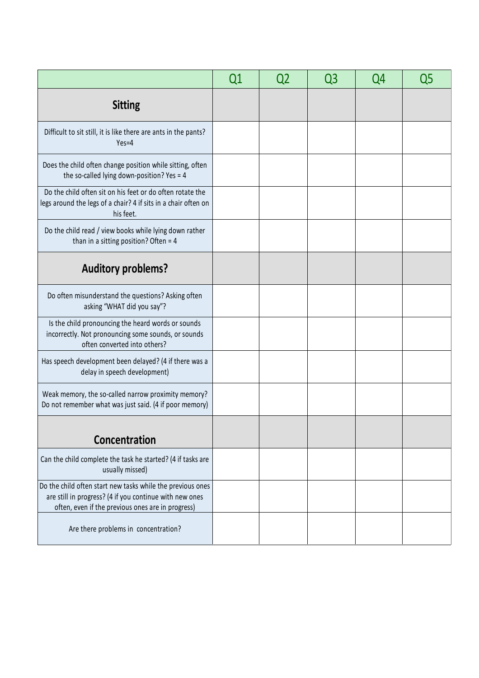|                                                                                                                                                                            | Q1 | Q2 | Q3 | Q4 | Q5 |
|----------------------------------------------------------------------------------------------------------------------------------------------------------------------------|----|----|----|----|----|
| <b>Sitting</b>                                                                                                                                                             |    |    |    |    |    |
| Difficult to sit still, it is like there are ants in the pants?<br>$Yes=4$                                                                                                 |    |    |    |    |    |
| Does the child often change position while sitting, often<br>the so-called lying down-position? Yes = 4                                                                    |    |    |    |    |    |
| Do the child often sit on his feet or do often rotate the<br>legs around the legs of a chair? 4 if sits in a chair often on<br>his feet.                                   |    |    |    |    |    |
| Do the child read / view books while lying down rather<br>than in a sitting position? Often = $4$                                                                          |    |    |    |    |    |
| <b>Auditory problems?</b>                                                                                                                                                  |    |    |    |    |    |
| Do often misunderstand the questions? Asking often<br>asking "WHAT did you say"?                                                                                           |    |    |    |    |    |
| Is the child pronouncing the heard words or sounds<br>incorrectly. Not pronouncing some sounds, or sounds<br>often converted into others?                                  |    |    |    |    |    |
| Has speech development been delayed? (4 if there was a<br>delay in speech development)                                                                                     |    |    |    |    |    |
| Weak memory, the so-called narrow proximity memory?<br>Do not remember what was just said. (4 if poor memory)                                                              |    |    |    |    |    |
| Concentration                                                                                                                                                              |    |    |    |    |    |
| Can the child complete the task he started? (4 if tasks are<br>usually missed)                                                                                             |    |    |    |    |    |
| Do the child often start new tasks while the previous ones<br>are still in progress? (4 if you continue with new ones<br>often, even if the previous ones are in progress) |    |    |    |    |    |
| Are there problems in concentration?                                                                                                                                       |    |    |    |    |    |